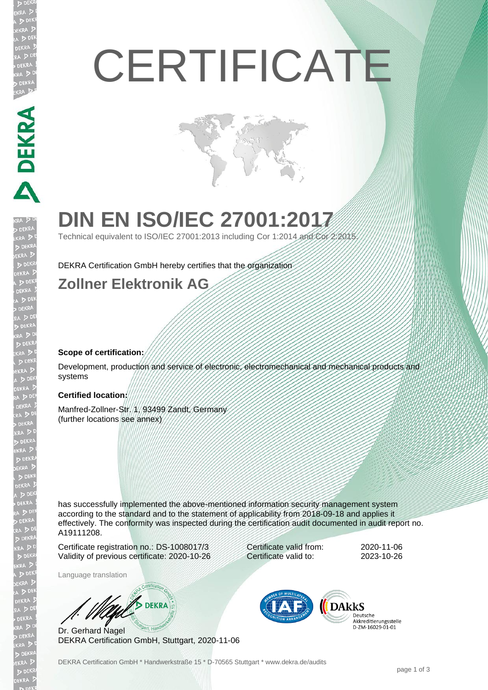# **CERTIFICATE**

## **DIN EN ISO/IEC 27001:2017**

Technical equivalent to ISO/IEC 27001:2013 including Cor 1:2014 and Cor 2:2015.

DEKRA Certification GmbH hereby certifies that the organization

### **Zollner Elektronik AG**

#### **Scope of certification:**

**DEKRA** 

EKRA

Development, production and service of electronic, electromechanical and mechanical products and systems

#### **Certified location:**

Manfred-Zollner-Str. 1, 93499 Zandt, Germany (further locations see annex)

has successfully implemented the above-mentioned information security management system according to the standard and to the statement of applicability from 2018-09-18 and applies it effectively. The conformity was inspected during the certification audit documented in audit report no. A19111208.

Certificate registration no.: DS-1008017/3 Validity of previous certificate: 2020-10-26

Language translation

**DEKRA** 

Dr. Gerhard Nagel DEKRA Certification GmbH, Stuttgart, 2020-11-06



Certificate valid from: 2020-11-06 Certificate valid to: 2023-10-26

> **DARKS** Deutsche Akkreditierungsstelle D-7M-16029-01-01

DEKRA Certification GmbH \* Handwerkstraße 15 \* D-70565 Stuttgart \* www.dekra.de/audits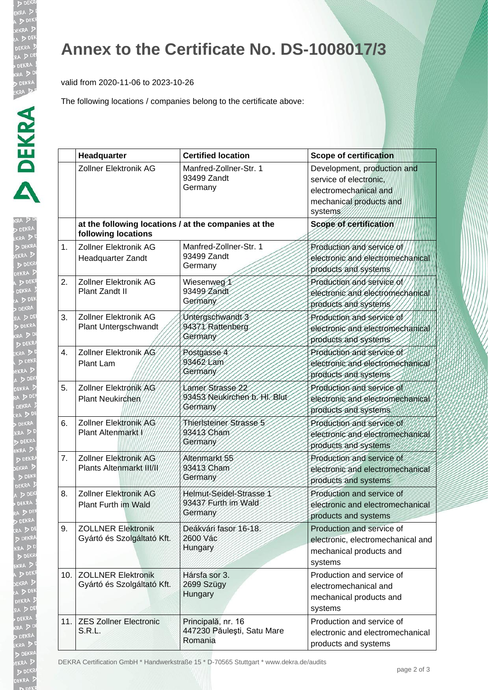XR.

EKRA

EKRA  $D<sub>DE</sub>$ 

## **Annex to the Certificate No. DS-1008017/3**

valid from 2020-11-06 to 2023-10-26

The following locations / companies belong to the certificate above:

|     | Headquarter                                                                 | <b>Certified location</b>                                   | <b>Scope of certification</b>                                                                                        |
|-----|-----------------------------------------------------------------------------|-------------------------------------------------------------|----------------------------------------------------------------------------------------------------------------------|
|     | <b>Zollner Elektronik AG</b>                                                | Manfred-Zollner-Str. 1<br>93499 Zandt<br>Germany            | Development, production and<br>service of electronic.<br>electromechanical and<br>mechanical products and<br>systems |
|     | at the following locations / at the companies at the<br>following locations |                                                             | Scope of certification                                                                                               |
| 1.  | Zollner Elektronik AG<br>Headquarter Zandt                                  | Manfred-Zollner-Str. 1<br>93499 Zandt<br>Germany            | Production and service of<br>electronic and electromechanical<br>products and systems                                |
| 2.  | Zollner Elektronik AG<br>Plant Zandt II                                     | Wiesenweg 1<br>93499 Zandt<br>Germany                       | Production and service of<br>electronic and electromechanical<br>products and systems                                |
| 3.  | Zollner Elektronik AG<br>Plant Untergschwandt                               | Untergschwandt 3<br>94371 Rattenberg<br>Germany             | Production and service of<br>electronic and electromechanical<br>products and systems                                |
| 4.  | Zollner Elektronik AG<br>Plant Lam                                          | Postgasse 4<br>93462 Lam<br>Germany                         | Production and service of<br>electronic and electromechanical<br>products and systems                                |
| 5.  | Zollner Elektronik AG<br>Plant Neukirchen                                   | Lamer Strasse 22<br>93453 Neukirchen b. H. Blut<br>Germany  | Production and service of<br>electronic and electromechanical<br>products and systems                                |
| 6.  | Zollner Elektronik AG<br>Plant Altenmarkt/                                  | Thieristeiner Strasse 5<br>93413 Cham<br>Germany            | Production and service of<br>electronic and electromechanical<br>products and systems                                |
| 7.  | <b>Zollner Elektronik AG</b><br>Plants Altenmarkt III/II                    | Altenmarkt 55<br>93413 Cham<br>Germany                      | Production and service of<br>electronic and electromechanical<br>products and systems                                |
| 8.  | <b>Zollner Elektronik AG</b><br>Plant Furth im Wald                         | Helmut-Seidel-Strasse 1<br>93437 Furth im Wald<br>Germany   | Production and service of<br>electronic and electromechanical<br>products and systems                                |
| 9.  | <b>ZOLLNER Elektronik</b><br>Gyártó és Szolgáltató Kft.                     | Deákvári fasor 16-18.<br>2600 Vác<br>Hungary                | Production and service of<br>electronic, electromechanical and<br>mechanical products and<br>systems                 |
| 10. | <b>ZOLLNER Elektronik</b><br>Gyártó és Szolgáltató Kft.                     | Hársfa sor 3.<br>2699 Szügy<br>Hungary                      | Production and service of<br>electromechanical and<br>mechanical products and<br>systems                             |
| 11. | <b>ZES Zollner Electronic</b><br>S.R.L.                                     | Principală, nr. 16<br>447230 Păulești, Satu Mare<br>Romania | Production and service of<br>electronic and electromechanical<br>products and systems                                |